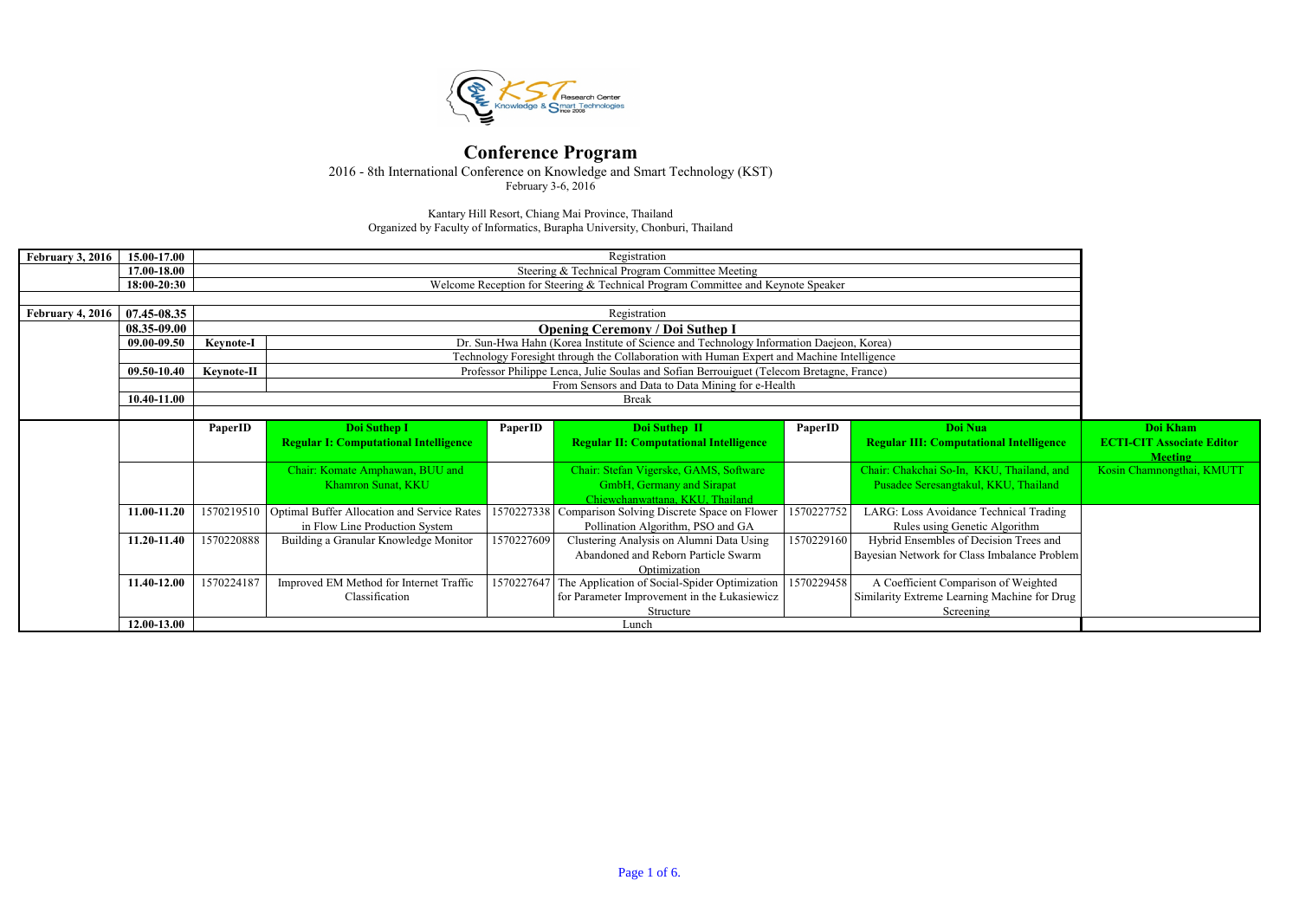| <b>February 3, 2016</b> | 15.00-17.00     |                  | Registration<br>Steering & Technical Program Committee Meeting                   |            |                                                                                           |            |                                                |                                                    |  |  |  |  |
|-------------------------|-----------------|------------------|----------------------------------------------------------------------------------|------------|-------------------------------------------------------------------------------------------|------------|------------------------------------------------|----------------------------------------------------|--|--|--|--|
|                         | 17.00-18.00     |                  |                                                                                  |            |                                                                                           |            |                                                |                                                    |  |  |  |  |
|                         | 18:00-20:30     |                  | Welcome Reception for Steering & Technical Program Committee and Keynote Speaker |            |                                                                                           |            |                                                |                                                    |  |  |  |  |
|                         |                 |                  |                                                                                  |            |                                                                                           |            |                                                |                                                    |  |  |  |  |
| <b>February 4, 2016</b> | $07.45 - 08.35$ |                  | Registration                                                                     |            |                                                                                           |            |                                                |                                                    |  |  |  |  |
|                         | 08.35-09.00     |                  |                                                                                  |            | <b>Opening Ceremony / Doi Suthep I</b>                                                    |            |                                                |                                                    |  |  |  |  |
|                         | 09.00-09.50     | <b>Keynote-I</b> |                                                                                  |            | Dr. Sun-Hwa Hahn (Korea Institute of Science and Technology Information Daejeon, Korea)   |            |                                                |                                                    |  |  |  |  |
|                         |                 |                  |                                                                                  |            | Technology Foresight through the Collaboration with Human Expert and Machine Intelligence |            |                                                |                                                    |  |  |  |  |
|                         | 09.50-10.40     | Keynote-II       |                                                                                  |            | Professor Philippe Lenca, Julie Soulas and Sofian Berrouiguet (Telecom Bretagne, France)  |            |                                                |                                                    |  |  |  |  |
|                         |                 |                  |                                                                                  |            | From Sensors and Data to Data Mining for e-Health                                         |            |                                                |                                                    |  |  |  |  |
|                         | 10.40-11.00     |                  |                                                                                  |            | <b>Break</b>                                                                              |            |                                                |                                                    |  |  |  |  |
|                         |                 |                  |                                                                                  |            |                                                                                           |            |                                                |                                                    |  |  |  |  |
|                         |                 | PaperID          | Doi Suthep I                                                                     | PaperID    | Doi Suthep II                                                                             | PaperID    | Doi Nua                                        | Doi Kham                                           |  |  |  |  |
|                         |                 |                  | <b>Regular I: Computational Intelligence</b>                                     |            | <b>Regular II: Computational Intelligence</b>                                             |            | <b>Regular III: Computational Intelligence</b> | <b>ECTI-CIT Associate Editor</b><br><b>Meeting</b> |  |  |  |  |
|                         |                 |                  | Chair: Komate Amphawan, BUU and                                                  |            | Chair: Stefan Vigerske, GAMS, Software                                                    |            | Chair: Chakchai So-In, KKU, Thailand, and      | Kosin Chamnongthai, KMUTT                          |  |  |  |  |
|                         |                 |                  | Khamron Sunat, KKU                                                               |            | <b>GmbH</b> , Germany and Sirapat                                                         |            | Pusadee Seresangtakul, KKU, Thailand           |                                                    |  |  |  |  |
|                         |                 |                  |                                                                                  |            | Chiewchanwattana, KKU, Thailand                                                           |            |                                                |                                                    |  |  |  |  |
|                         | 11.00-11.20     |                  | 1570219510 Optimal Buffer Allocation and Service Rates                           |            | 1570227338 Comparison Solving Discrete Space on Flower                                    | 1570227752 | LARG: Loss Avoidance Technical Trading         |                                                    |  |  |  |  |
|                         |                 |                  | in Flow Line Production System                                                   |            |                                                                                           |            |                                                |                                                    |  |  |  |  |
|                         | 11.20-11.40     | 1570220888       | Building a Granular Knowledge Monitor                                            |            |                                                                                           |            |                                                |                                                    |  |  |  |  |
|                         |                 |                  |                                                                                  |            |                                                                                           |            |                                                |                                                    |  |  |  |  |
|                         |                 |                  |                                                                                  |            |                                                                                           |            |                                                |                                                    |  |  |  |  |
|                         | 11.40-12.00     | 1570224187       | Improved EM Method for Internet Traffic                                          | 1570227647 | Optimization<br>The Application of Social-Spider Optimization                             | 1570229458 | A Coefficient Comparison of Weighted           |                                                    |  |  |  |  |
|                         |                 |                  | Classification                                                                   |            | for Parameter Improvement in the Łukasiewicz                                              |            | Similarity Extreme Learning Machine for Drug   |                                                    |  |  |  |  |
|                         |                 |                  |                                                                                  |            | Structure                                                                                 |            | Screening                                      |                                                    |  |  |  |  |
|                         | 12.00-13.00     |                  |                                                                                  |            | Lunch                                                                                     |            |                                                |                                                    |  |  |  |  |

Organized by Faculty of Informatics, Burapha University, Chonburi, Thailand Kantary Hill Resort, Chiang Mai Province, Thailand



#### Conference Program

2016 - 8th International Conference on Knowledge and Smart Technology (KST)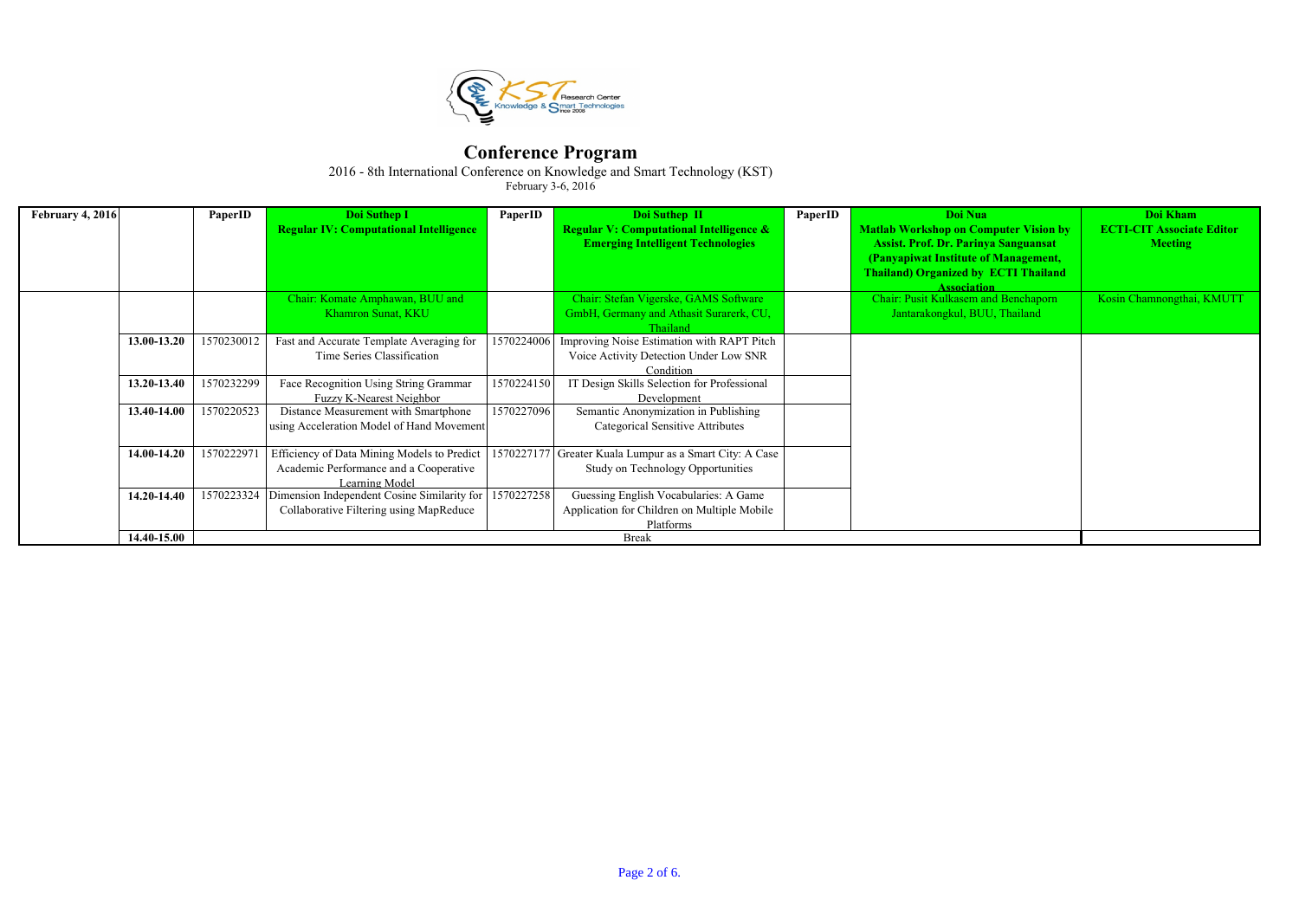

2016 - 8th International Conference on Knowledge and Smart Technology (KST)

| February 4, 2016 |             | PaperID    | Doi Suthep I                                             | PaperID    | Doi Suthep II                                           | PaperID | Doi Nua                                      | Doi Kham                         |
|------------------|-------------|------------|----------------------------------------------------------|------------|---------------------------------------------------------|---------|----------------------------------------------|----------------------------------|
|                  |             |            | <b>Regular IV: Computational Intelligence</b>            |            | <b>Regular V: Computational Intelligence &amp;</b>      |         | <b>Matlab Workshop on Computer Vision by</b> | <b>ECTI-CIT Associate Editor</b> |
|                  |             |            |                                                          |            | <b>Emerging Intelligent Technologies</b>                |         | <b>Assist. Prof. Dr. Parinya Sanguansat</b>  | <b>Meeting</b>                   |
|                  |             |            |                                                          |            |                                                         |         | (Panyapiwat Institute of Management,         |                                  |
|                  |             |            |                                                          |            |                                                         |         | <b>Thailand) Organized by ECTI Thailand</b>  |                                  |
|                  |             |            |                                                          |            |                                                         |         | <b>Association</b>                           |                                  |
|                  |             |            | Chair: Komate Amphawan, BUU and                          |            | Chair: Stefan Vigerske, GAMS Software                   |         | <b>Chair: Pusit Kulkasem and Benchaporn</b>  | Kosin Chamnongthai, KMUTT        |
|                  |             |            | Khamron Sunat, KKU                                       |            | GmbH, Germany and Athasit Surarerk, CU,                 |         | Jantarakongkul, BUU, Thailand                |                                  |
|                  |             |            |                                                          |            | <b>Thailand</b>                                         |         |                                              |                                  |
|                  | 13.00-13.20 | 1570230012 | Fast and Accurate Template Averaging for                 | 1570224006 | Improving Noise Estimation with RAPT Pitch              |         |                                              |                                  |
|                  |             |            | Time Series Classification                               |            | Voice Activity Detection Under Low SNR                  |         |                                              |                                  |
|                  |             |            |                                                          |            | Condition                                               |         |                                              |                                  |
|                  | 13.20-13.40 | 1570232299 | Face Recognition Using String Grammar                    | 1570224150 | IT Design Skills Selection for Professional             |         |                                              |                                  |
|                  |             |            | <b>Fuzzy K-Nearest Neighbor</b>                          |            | Development                                             |         |                                              |                                  |
|                  | 13.40-14.00 | 1570220523 | Distance Measurement with Smartphone                     | 1570227096 | Semantic Anonymization in Publishing                    |         |                                              |                                  |
|                  |             |            | using Acceleration Model of Hand Movement                |            | <b>Categorical Sensitive Attributes</b>                 |         |                                              |                                  |
|                  |             |            |                                                          |            |                                                         |         |                                              |                                  |
|                  | 14.00-14.20 | 1570222971 | Efficiency of Data Mining Models to Predict              |            | 1570227177 Greater Kuala Lumpur as a Smart City: A Case |         |                                              |                                  |
|                  |             |            | Academic Performance and a Cooperative                   |            | Study on Technology Opportunities                       |         |                                              |                                  |
|                  |             |            | Learning Model                                           |            |                                                         |         |                                              |                                  |
|                  | 14.20-14.40 |            | 1570223324   Dimension Independent Cosine Similarity for | 1570227258 | Guessing English Vocabularies: A Game                   |         |                                              |                                  |
|                  |             |            | Collaborative Filtering using MapReduce                  |            | Application for Children on Multiple Mobile             |         |                                              |                                  |
|                  |             |            |                                                          |            | Platforms                                               |         |                                              |                                  |
|                  | 14.40-15.00 |            |                                                          |            | <b>Break</b>                                            |         |                                              |                                  |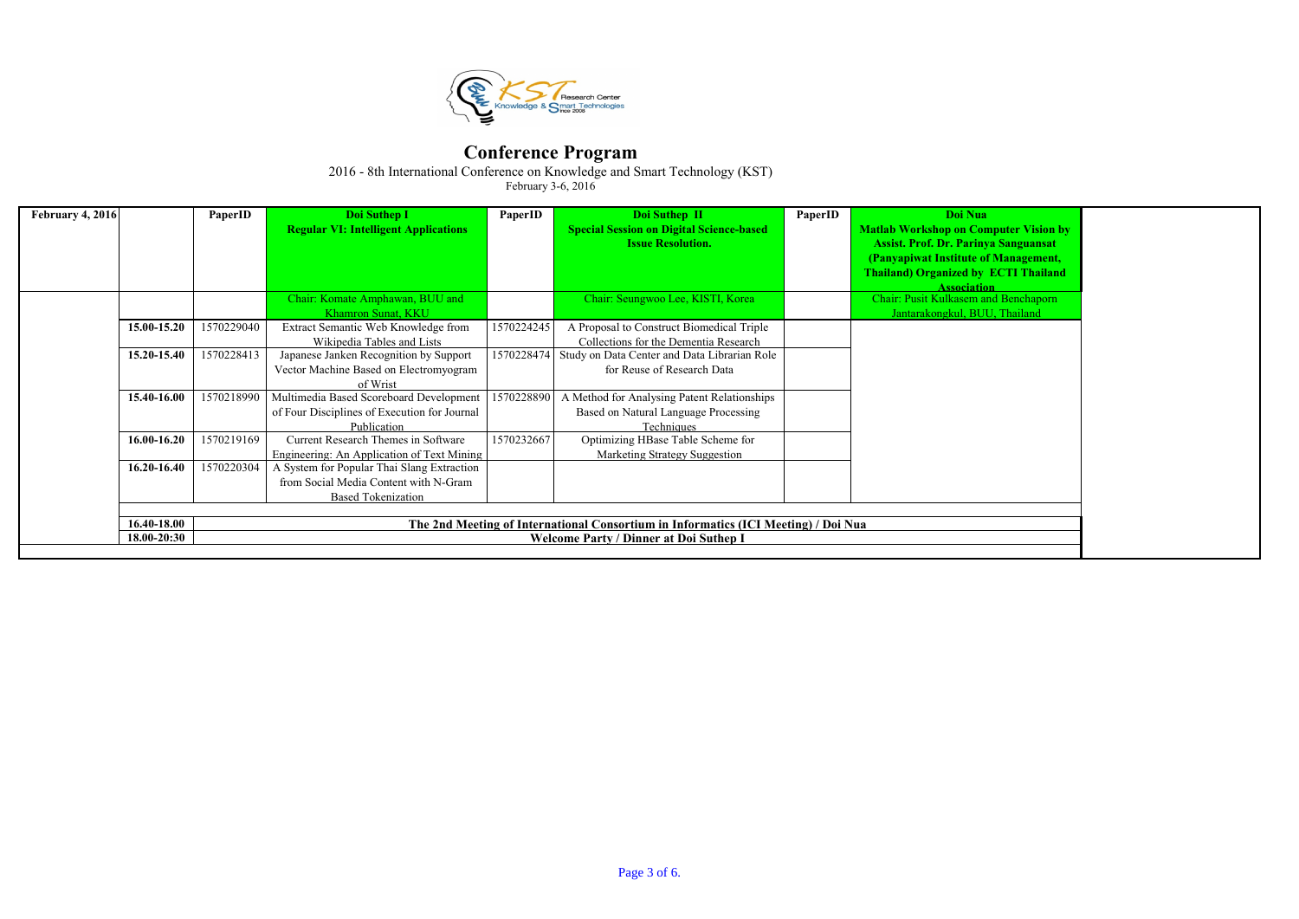

2016 - 8th International Conference on Knowledge and Smart Technology (KST)

| <b>February 4, 2016</b> |                 | PaperID                                       | Doi Suthep I                                                                                                     | PaperID    | Doi Suthep II                                                                                     | PaperID | Doi Nua                                                                                                                                                                                                  |  |  |  |
|-------------------------|-----------------|-----------------------------------------------|------------------------------------------------------------------------------------------------------------------|------------|---------------------------------------------------------------------------------------------------|---------|----------------------------------------------------------------------------------------------------------------------------------------------------------------------------------------------------------|--|--|--|
|                         |                 |                                               | <b>Regular VI: Intelligent Applications</b>                                                                      |            | <b>Special Session on Digital Science-based</b><br><b>Issue Resolution.</b>                       |         | <b>Matlab Workshop on Computer Vision by</b><br><b>Assist. Prof. Dr. Parinya Sanguansat</b><br>(Panyapiwat Institute of Management,<br><b>Thailand) Organized by ECTI Thailand</b><br><b>Association</b> |  |  |  |
|                         |                 |                                               | Chair: Komate Amphawan, BUU and<br>Khamron Sunat, KKU                                                            |            | Chair: Seungwoo Lee, KISTI, Korea                                                                 |         | <b>Chair: Pusit Kulkasem and Benchaporn</b><br>Jantarakongkul, BUU, Thailand                                                                                                                             |  |  |  |
|                         | 15.00-15.20     | 1570229040                                    | Extract Semantic Web Knowledge from<br>Wikipedia Tables and Lists                                                | 1570224245 | A Proposal to Construct Biomedical Triple<br>Collections for the Dementia Research                |         |                                                                                                                                                                                                          |  |  |  |
|                         | 15.20-15.40     | 1570228413                                    | Japanese Janken Recognition by Support<br>Vector Machine Based on Electromyogram<br>of Wrist                     | 1570228474 | Study on Data Center and Data Librarian Role<br>for Reuse of Research Data                        |         |                                                                                                                                                                                                          |  |  |  |
|                         | 15.40-16.00     | 1570218990                                    | Multimedia Based Scoreboard Development<br>of Four Disciplines of Execution for Journal<br>Publication           | 1570228890 | A Method for Analysing Patent Relationships<br>Based on Natural Language Processing<br>Techniques |         |                                                                                                                                                                                                          |  |  |  |
|                         | $16.00 - 16.20$ | 1570219169                                    | Current Research Themes in Software<br>Engineering: An Application of Text Mining                                | 1570232667 | Optimizing HBase Table Scheme for<br>Marketing Strategy Suggestion                                |         |                                                                                                                                                                                                          |  |  |  |
|                         | $16.20 - 16.40$ | 1570220304                                    | A System for Popular Thai Slang Extraction<br>from Social Media Content with N-Gram<br><b>Based Tokenization</b> |            |                                                                                                   |         |                                                                                                                                                                                                          |  |  |  |
|                         | 16.40-18.00     |                                               |                                                                                                                  |            | The 2nd Meeting of International Consortium in Informatics (ICI Meeting) / Doi Nua                |         |                                                                                                                                                                                                          |  |  |  |
|                         | $18.00 - 20:30$ | <b>Welcome Party / Dinner at Doi Suthep I</b> |                                                                                                                  |            |                                                                                                   |         |                                                                                                                                                                                                          |  |  |  |

| å                            |  |
|------------------------------|--|
| <b>Imputer Vision by</b>     |  |
|                              |  |
| iya Sanguansat               |  |
| of Management,               |  |
| <b>ECTI Thailand</b>         |  |
|                              |  |
| <u>ion</u><br>and Benchaporn |  |
|                              |  |
| JU, Thailand                 |  |
|                              |  |
|                              |  |
|                              |  |
|                              |  |
|                              |  |
|                              |  |
|                              |  |
|                              |  |
|                              |  |
|                              |  |
|                              |  |
|                              |  |
|                              |  |
|                              |  |
|                              |  |
|                              |  |
|                              |  |
|                              |  |
|                              |  |
|                              |  |
|                              |  |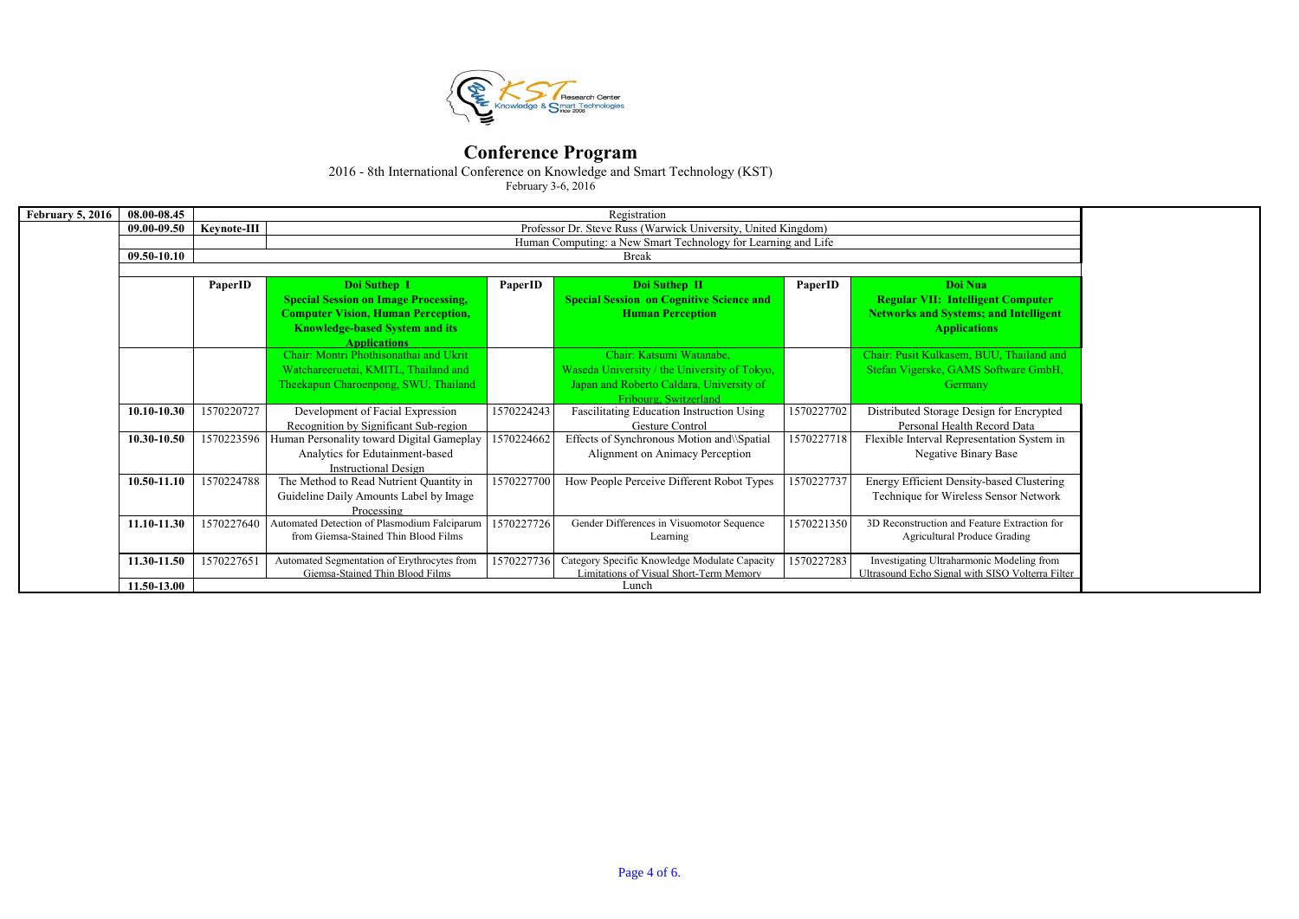

2016 - 8th International Conference on Knowledge and Smart Technology (KST)

| <b>February 5, 2016</b> | 08.00-08.45 |             | Registration                                                                                |            |                                                  |            |                                                  |  |  |  |  |  |  |
|-------------------------|-------------|-------------|---------------------------------------------------------------------------------------------|------------|--------------------------------------------------|------------|--------------------------------------------------|--|--|--|--|--|--|
|                         | 09.00-09.50 | Keynote-III | Professor Dr. Steve Russ (Warwick University, United Kingdom)                               |            |                                                  |            |                                                  |  |  |  |  |  |  |
|                         |             |             | Human Computing: a New Smart Technology for Learning and Life                               |            |                                                  |            |                                                  |  |  |  |  |  |  |
|                         | 09.50-10.10 |             | <b>Break</b>                                                                                |            |                                                  |            |                                                  |  |  |  |  |  |  |
|                         |             |             |                                                                                             |            |                                                  |            |                                                  |  |  |  |  |  |  |
|                         |             | PaperID     | Doi Suthep I                                                                                | PaperID    | Doi Suthep II                                    | PaperID    | Doi Nua                                          |  |  |  |  |  |  |
|                         |             |             | <b>Special Session on Image Processing,</b>                                                 |            | <b>Special Session on Cognitive Science and</b>  |            | <b>Regular VII: Intelligent Computer</b>         |  |  |  |  |  |  |
|                         |             |             | <b>Computer Vision, Human Perception,</b>                                                   |            | <b>Human Perception</b>                          |            | <b>Networks and Systems; and Intelligent</b>     |  |  |  |  |  |  |
|                         |             |             | <b>Knowledge-based System and its</b>                                                       |            |                                                  |            | <b>Applications</b>                              |  |  |  |  |  |  |
|                         |             |             | <b>Applications</b>                                                                         |            |                                                  |            |                                                  |  |  |  |  |  |  |
|                         |             |             | Chair: Montri Phothisonathai and Ukrit                                                      |            | Chair: Katsumi Watanabe,                         |            | Chair: Pusit Kulkasem, BUU, Thailand and         |  |  |  |  |  |  |
|                         |             |             | Watchareeruetai, KMITL, Thailand and                                                        |            | Waseda University / the University of Tokyo,     |            | Stefan Vigerske, GAMS Software GmbH,             |  |  |  |  |  |  |
|                         |             |             | Japan and Roberto Caldara, University of<br>Theekapun Charoenpong, SWU, Thailand<br>Germany |            |                                                  |            |                                                  |  |  |  |  |  |  |
|                         |             |             |                                                                                             |            | Fribourg, Switzerland                            |            |                                                  |  |  |  |  |  |  |
|                         | 10.10-10.30 | 1570220727  | Development of Facial Expression                                                            | 1570224243 | <b>Fascilitating Education Instruction Using</b> | 1570227702 | Distributed Storage Design for Encrypted         |  |  |  |  |  |  |
|                         |             |             | Recognition by Significant Sub-region                                                       |            | Gesture Control                                  |            | Personal Health Record Data                      |  |  |  |  |  |  |
|                         | 10.30-10.50 |             | 1570223596   Human Personality toward Digital Gameplay                                      | 1570224662 | Effects of Synchronous Motion and \Spatial       | 1570227718 | Flexible Interval Representation System in       |  |  |  |  |  |  |
|                         |             |             | Analytics for Edutainment-based                                                             |            | Alignment on Animacy Perception                  |            | Negative Binary Base                             |  |  |  |  |  |  |
|                         |             |             | <b>Instructional Design</b>                                                                 |            |                                                  |            |                                                  |  |  |  |  |  |  |
|                         | 10.50-11.10 | 1570224788  | The Method to Read Nutrient Quantity in                                                     | 1570227700 | How People Perceive Different Robot Types        | 1570227737 | Energy Efficient Density-based Clustering        |  |  |  |  |  |  |
|                         |             |             | Guideline Daily Amounts Label by Image                                                      |            |                                                  |            | Technique for Wireless Sensor Network            |  |  |  |  |  |  |
|                         |             |             | Processing                                                                                  |            |                                                  |            |                                                  |  |  |  |  |  |  |
|                         | 11.10-11.30 | 1570227640  | Automated Detection of Plasmodium Falciparum                                                | 1570227726 | Gender Differences in Visuomotor Sequence        | 1570221350 | 3D Reconstruction and Feature Extraction for     |  |  |  |  |  |  |
|                         |             |             | from Giemsa-Stained Thin Blood Films                                                        |            | Learning                                         |            | <b>Agricultural Produce Grading</b>              |  |  |  |  |  |  |
|                         | 11.30-11.50 | 1570227651  | Automated Segmentation of Erythrocytes from                                                 | 1570227736 | Category Specific Knowledge Modulate Capacity    | 1570227283 | Investigating Ultraharmonic Modeling from        |  |  |  |  |  |  |
|                         |             |             | Giemsa-Stained Thin Blood Films                                                             |            | <b>Limitations of Visual Short-Term Memory</b>   |            | Ultrasound Echo Signal with SISO Volterra Filter |  |  |  |  |  |  |
|                         | 11.50-13.00 |             |                                                                                             |            | Lunch                                            |            |                                                  |  |  |  |  |  |  |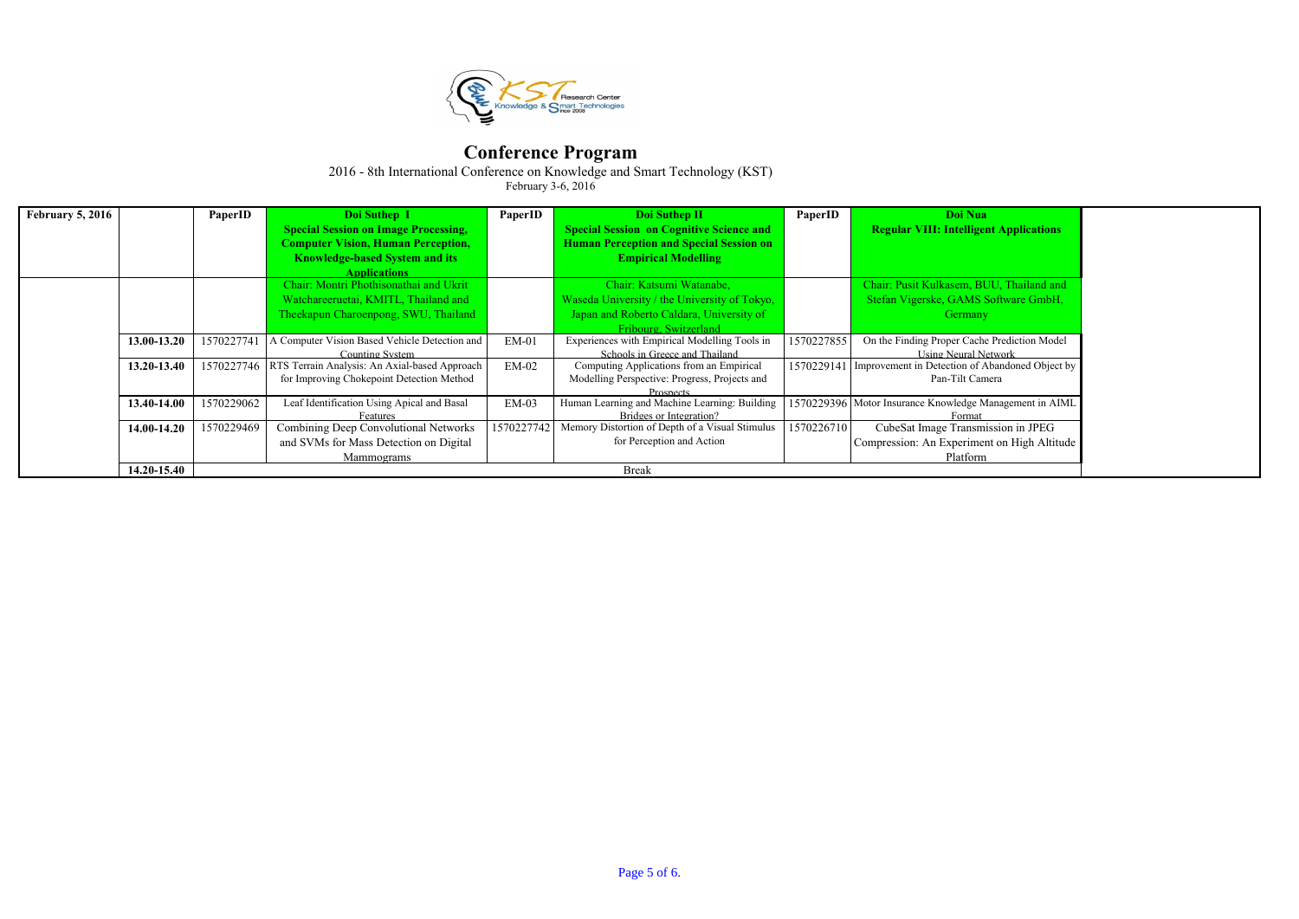

2016 - 8th International Conference on Knowledge and Smart Technology (KST)

| <b>February 5, 2016</b> |             | PaperID    | Doi Suthep I                                  | PaperID    | Doi Suthep II                                   | PaperID    | Doi Nua                                                    |
|-------------------------|-------------|------------|-----------------------------------------------|------------|-------------------------------------------------|------------|------------------------------------------------------------|
|                         |             |            | <b>Special Session on Image Processing,</b>   |            | <b>Special Session on Cognitive Science and</b> |            | <b>Regular VIII: Intelligent Applications</b>              |
|                         |             |            | <b>Computer Vision, Human Perception,</b>     |            | <b>Human Perception and Special Session on</b>  |            |                                                            |
|                         |             |            | <b>Knowledge-based System and its</b>         |            | <b>Empirical Modelling</b>                      |            |                                                            |
|                         |             |            | <b>Applications</b>                           |            |                                                 |            |                                                            |
|                         |             |            | Chair: Montri Phothisonathai and Ukrit        |            | Chair: Katsumi Watanabe,                        |            | Chair: Pusit Kulkasem, BUU, Thailand and                   |
|                         |             |            | Watchareeruetai, KMITL, Thailand and          |            | Waseda University / the University of Tokyo,    |            | Stefan Vigerske, GAMS Software GmbH,                       |
|                         |             |            | Theekapun Charoenpong, SWU, Thailand          |            | Japan and Roberto Caldara, University of        |            | Germany                                                    |
|                         |             |            |                                               |            | Fribourg, Switzerland                           |            |                                                            |
|                         | 13.00-13.20 | 1570227741 | A Computer Vision Based Vehicle Detection and | $EM-01$    | Experiences with Empirical Modelling Tools in   | 1570227855 | On the Finding Proper Cache Prediction Model               |
|                         |             |            | Counting System                               |            | Schools in Greece and Thailand                  |            | <b>Using Neural Network</b>                                |
|                         | 13.20-13.40 | 1570227746 | RTS Terrain Analysis: An Axial-based Approach | $EM-02$    | Computing Applications from an Empirical        |            | 1570229141 Improvement in Detection of Abandoned Object by |
|                         |             |            | for Improving Chokepoint Detection Method     |            | Modelling Perspective: Progress, Projects and   |            | Pan-Tilt Camera                                            |
|                         |             |            |                                               |            | <b>Prospects</b>                                |            |                                                            |
|                         | 13.40-14.00 | 1570229062 | Leaf Identification Using Apical and Basal    | $EM-03$    | Human Learning and Machine Learning: Building   |            | 1570229396 Motor Insurance Knowledge Management in AIML    |
|                         |             |            | Features                                      |            | Bridges or Integration?                         |            | Formai                                                     |
|                         | 14.00-14.20 | 1570229469 | Combining Deep Convolutional Networks         | 1570227742 | Memory Distortion of Depth of a Visual Stimulus | 1570226710 | CubeSat Image Transmission in JPEG                         |
|                         |             |            | and SVMs for Mass Detection on Digital        |            | for Perception and Action                       |            | Compression: An Experiment on High Altitude                |
|                         |             |            | Mammograms                                    |            |                                                 |            | Platform                                                   |
|                         | 14.20-15.40 |            |                                               |            | <b>Break</b>                                    |            |                                                            |